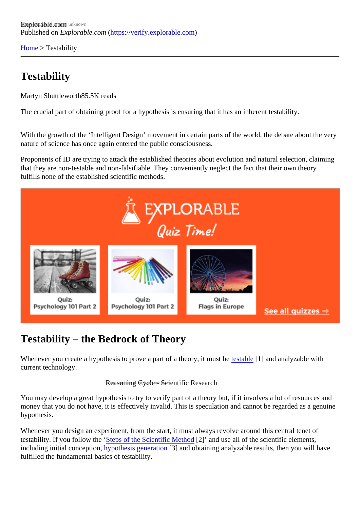[Home](https://verify.explorable.com/)> Testability

## **Testability**

Martyn Shuttlewort<sup>85.5K</sup> reads

The crucial part of obtaining proof for a hypothesis is ensuring that it has an inherent testability.

With the growth of the 'Intelligent Design' movement in certain parts of the world, the debate about the ver nature of science has once again entered the public consciousness.

Proponents of ID are trying to attack the established theories about evolution and natural selection, claiming that they are non-testable and non-falsifiable. They conveniently neglect the fact that their own theory fulfills none of the established scientific methods.

## Testability – the Bedrock of Theory

Whenever you create a hypothesis to prove a part of a theory, it must and analyzable with current technology.

## Reasoning Cycle - Scientific Research

You may develop a great hypothesis to try to verify part of a theory but, if it involves a lot of resources and money that you do not have, it is effectively invalid. This is speculation and cannot be regarded as a genuing hypothesis.

Whenever you design an experiment, from the start, it must always revolve around this central tenet of testability. If you follow the Steps of the Scientific Metho[2]' and use all of the scientific elements, including initial conceptio[n, hypothesis generatio](https://verify.explorable.com/defining-a-research-problem)n and obtaining analyzable results, then you will have fulfilled the fundamental basics of testability.